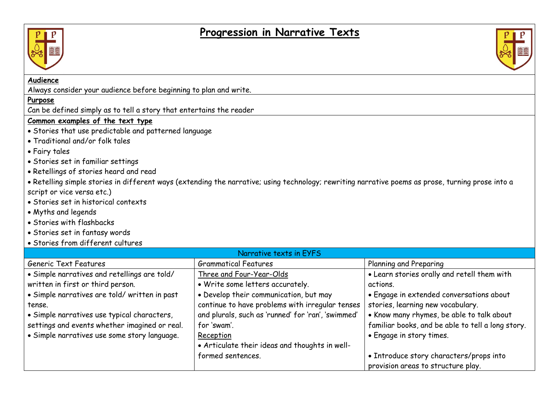## **Progression in Narrative Texts**





## **Audience**

Always consider your audience before beginning to plan and write.

## **Purpose**

Can be defined simply as to tell a story that entertains the reader

## **Common examples of the text type**

- Stories that use predictable and patterned language
- Traditional and/or folk tales
- Fairy tales
- Stories set in familiar settings
- Retellings of stories heard and read

• Retelling simple stories in different ways (extending the narrative; using technology; rewriting narrative poems as prose, turning prose into a script or vice versa etc.)

- Stories set in historical contexts
- Myths and legends
- Stories with flashbacks
- Stories set in fantasy words
- Stories from different cultures

| Narrative texts in EYFS                       |                                                    |                                                   |
|-----------------------------------------------|----------------------------------------------------|---------------------------------------------------|
| Generic Text Features                         | <b>Grammatical Features</b>                        | Planning and Preparing                            |
| • Simple narratives and retellings are told/  | Three and Four-Year-Olds                           | . Learn stories orally and retell them with       |
| written in first or third person.             | • Write some letters accurately.                   | actions.                                          |
| · Simple narratives are told/written in past  | • Develop their communication, but may             | • Engage in extended conversations about          |
| tense.                                        | continue to have problems with irregular tenses    | stories, learning new vocabulary.                 |
| · Simple narratives use typical characters,   | and plurals, such as 'runned' for 'ran', 'swimmed' | . Know many rhymes, be able to talk about         |
| settings and events whether imagined or real. | for 'swam'.                                        | familiar books, and be able to tell a long story. |
| • Simple narratives use some story language.  | Reception                                          | • Engage in story times.                          |
|                                               | • Articulate their ideas and thoughts in well-     |                                                   |
|                                               | formed sentences.                                  | • Introduce story characters/props into           |
|                                               |                                                    | provision areas to structure play.                |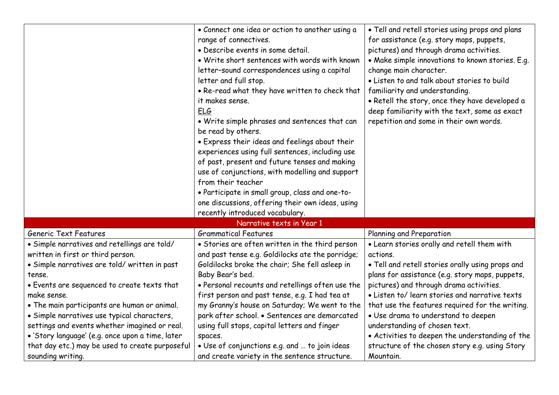|                                                  | • Connect one idea or action to another using a<br>range of connectives.<br>· Describe events in some detail.<br>. Write short sentences with words with known<br>letter-sound correspondences using a capital<br>letter and full stop.<br>. Re-read what they have written to check that<br>it makes sense.<br><b>ELG</b><br>• Write simple phrases and sentences that can<br>be read by others.<br>• Express their ideas and feelings about their<br>experiences using full sentences, including use<br>of past, present and future tenses and making<br>use of conjunctions, with modelling and support<br>from their teacher<br>· Participate in small group, class and one-to-<br>one discussions, offering their own ideas, using<br>recently introduced vocabulary. | . Tell and retell stories using props and plans<br>for assistance (e.g. story maps, puppets,<br>pictures) and through drama activities.<br>• Make simple innovations to known stories. E.g.<br>change main character.<br>. Listen to and talk about stories to build<br>familiarity and understanding.<br>• Retell the story, once they have developed a<br>deep familiarity with the text, some as exact<br>repetition and some in their own words. |
|--------------------------------------------------|----------------------------------------------------------------------------------------------------------------------------------------------------------------------------------------------------------------------------------------------------------------------------------------------------------------------------------------------------------------------------------------------------------------------------------------------------------------------------------------------------------------------------------------------------------------------------------------------------------------------------------------------------------------------------------------------------------------------------------------------------------------------------|------------------------------------------------------------------------------------------------------------------------------------------------------------------------------------------------------------------------------------------------------------------------------------------------------------------------------------------------------------------------------------------------------------------------------------------------------|
|                                                  | Narrative texts in Year 1                                                                                                                                                                                                                                                                                                                                                                                                                                                                                                                                                                                                                                                                                                                                                  |                                                                                                                                                                                                                                                                                                                                                                                                                                                      |
| Generic Text Features                            | <b>Grammatical Features</b>                                                                                                                                                                                                                                                                                                                                                                                                                                                                                                                                                                                                                                                                                                                                                | Planning and Preparation                                                                                                                                                                                                                                                                                                                                                                                                                             |
| • Simple narratives and retellings are told/     | • Stories are often written in the third person                                                                                                                                                                                                                                                                                                                                                                                                                                                                                                                                                                                                                                                                                                                            | . Learn stories orally and retell them with                                                                                                                                                                                                                                                                                                                                                                                                          |
| written in first or third person.                | and past tense e.g. Goldilocks ate the porridge;                                                                                                                                                                                                                                                                                                                                                                                                                                                                                                                                                                                                                                                                                                                           | actions.                                                                                                                                                                                                                                                                                                                                                                                                                                             |
| · Simple narratives are told/written in past     | Goldilocks broke the chair; She fell asleep in                                                                                                                                                                                                                                                                                                                                                                                                                                                                                                                                                                                                                                                                                                                             | . Tell and retell stories orally using props and                                                                                                                                                                                                                                                                                                                                                                                                     |
| tense.                                           | Baby Bear's bed.                                                                                                                                                                                                                                                                                                                                                                                                                                                                                                                                                                                                                                                                                                                                                           | plans for assistance (e.g. story maps, puppets,                                                                                                                                                                                                                                                                                                                                                                                                      |
| • Events are sequenced to create texts that      | • Personal recounts and retellings often use the                                                                                                                                                                                                                                                                                                                                                                                                                                                                                                                                                                                                                                                                                                                           | pictures) and through drama activities.                                                                                                                                                                                                                                                                                                                                                                                                              |
| make sense.                                      | first person and past tense, e.g. I had tea at                                                                                                                                                                                                                                                                                                                                                                                                                                                                                                                                                                                                                                                                                                                             | • Listen to/ learn stories and narrative texts                                                                                                                                                                                                                                                                                                                                                                                                       |
| . The main participants are human or animal.     | my Granny's house on Saturday; We went to the                                                                                                                                                                                                                                                                                                                                                                                                                                                                                                                                                                                                                                                                                                                              | that use the features required for the writing.                                                                                                                                                                                                                                                                                                                                                                                                      |
| · Simple narratives use typical characters,      | park after school. • Sentences are demarcated                                                                                                                                                                                                                                                                                                                                                                                                                                                                                                                                                                                                                                                                                                                              | · Use drama to understand to deepen                                                                                                                                                                                                                                                                                                                                                                                                                  |
| settings and events whether imagined or real.    | using full stops, capital letters and finger                                                                                                                                                                                                                                                                                                                                                                                                                                                                                                                                                                                                                                                                                                                               | understanding of chosen text.                                                                                                                                                                                                                                                                                                                                                                                                                        |
| · 'Story language' (e.g. once upon a time, later | spaces.                                                                                                                                                                                                                                                                                                                                                                                                                                                                                                                                                                                                                                                                                                                                                                    | • Activities to deepen the understanding of the                                                                                                                                                                                                                                                                                                                                                                                                      |
| that day etc.) may be used to create purposeful  | . Use of conjunctions e.g. and  to join ideas                                                                                                                                                                                                                                                                                                                                                                                                                                                                                                                                                                                                                                                                                                                              | structure of the chosen story e.g. using Story                                                                                                                                                                                                                                                                                                                                                                                                       |
| sounding writing.                                | and create variety in the sentence structure.                                                                                                                                                                                                                                                                                                                                                                                                                                                                                                                                                                                                                                                                                                                              | Mountain.                                                                                                                                                                                                                                                                                                                                                                                                                                            |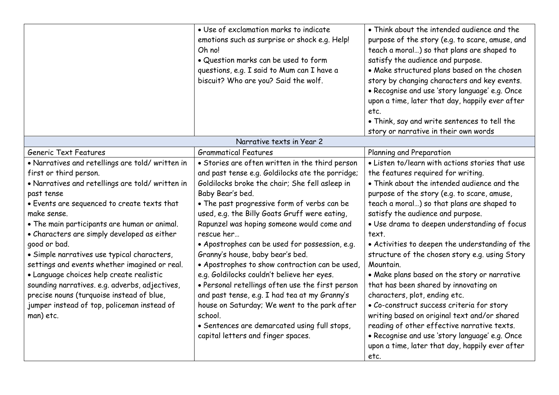|                                                                                             | • Use of exclamation marks to indicate<br>emotions such as surprise or shock e.g. Help!<br>Oh no!<br>. Question marks can be used to form<br>questions, e.g. I said to Mum can I have a<br>biscuit? Who are you? Said the wolf. | • Think about the intended audience and the<br>purpose of the story (e.g. to scare, amuse, and<br>teach a moral) so that plans are shaped to<br>satisfy the audience and purpose.<br>. Make structured plans based on the chosen<br>story by changing characters and key events.<br>· Recognise and use 'story language' e.g. Once<br>upon a time, later that day, happily ever after<br>etc.<br>• Think, say and write sentences to tell the<br>story or narrative in their own words |
|---------------------------------------------------------------------------------------------|---------------------------------------------------------------------------------------------------------------------------------------------------------------------------------------------------------------------------------|----------------------------------------------------------------------------------------------------------------------------------------------------------------------------------------------------------------------------------------------------------------------------------------------------------------------------------------------------------------------------------------------------------------------------------------------------------------------------------------|
|                                                                                             | Narrative texts in Year 2                                                                                                                                                                                                       |                                                                                                                                                                                                                                                                                                                                                                                                                                                                                        |
| Generic Text Features                                                                       | <b>Grammatical Features</b>                                                                                                                                                                                                     | Planning and Preparation                                                                                                                                                                                                                                                                                                                                                                                                                                                               |
| • Narratives and retellings are told/written in                                             | • Stories are often written in the third person                                                                                                                                                                                 | . Listen to/learn with actions stories that use                                                                                                                                                                                                                                                                                                                                                                                                                                        |
| first or third person.                                                                      | and past tense e.g. Goldilocks ate the porridge;                                                                                                                                                                                | the features required for writing.                                                                                                                                                                                                                                                                                                                                                                                                                                                     |
| • Narratives and retellings are told/written in                                             | Goldilocks broke the chair; She fell asleep in                                                                                                                                                                                  | • Think about the intended audience and the                                                                                                                                                                                                                                                                                                                                                                                                                                            |
| past tense                                                                                  | Baby Bear's bed.                                                                                                                                                                                                                | purpose of the story (e.g. to scare, amuse,                                                                                                                                                                                                                                                                                                                                                                                                                                            |
| • Events are sequenced to create texts that                                                 | • The past progressive form of verbs can be                                                                                                                                                                                     | teach a moral) so that plans are shaped to                                                                                                                                                                                                                                                                                                                                                                                                                                             |
| make sense.                                                                                 | used, e.g. the Billy Goats Gruff were eating,                                                                                                                                                                                   | satisfy the audience and purpose.                                                                                                                                                                                                                                                                                                                                                                                                                                                      |
| . The main participants are human or animal.<br>• Characters are simply developed as either | Rapunzel was hoping someone would come and<br>rescue her                                                                                                                                                                        | · Use drama to deepen understanding of focus<br>text.                                                                                                                                                                                                                                                                                                                                                                                                                                  |
| good or bad.                                                                                | • Apostrophes can be used for possession, e.g.                                                                                                                                                                                  | • Activities to deepen the understanding of the                                                                                                                                                                                                                                                                                                                                                                                                                                        |
| · Simple narratives use typical characters,                                                 | Granny's house, baby bear's bed.                                                                                                                                                                                                | structure of the chosen story e.g. using Story                                                                                                                                                                                                                                                                                                                                                                                                                                         |
| settings and events whether imagined or real.                                               | • Apostrophes to show contraction can be used,                                                                                                                                                                                  | Mountain.                                                                                                                                                                                                                                                                                                                                                                                                                                                                              |
| · Language choices help create realistic                                                    | e.g. Goldilocks couldn't believe her eyes.                                                                                                                                                                                      | . Make plans based on the story or narrative                                                                                                                                                                                                                                                                                                                                                                                                                                           |
| sounding narratives. e.g. adverbs, adjectives,                                              | • Personal retellings often use the first person                                                                                                                                                                                | that has been shared by innovating on                                                                                                                                                                                                                                                                                                                                                                                                                                                  |
| precise nouns (turquoise instead of blue,                                                   | and past tense, e.g. I had tea at my Granny's                                                                                                                                                                                   | characters, plot, ending etc.                                                                                                                                                                                                                                                                                                                                                                                                                                                          |
| jumper instead of top, policeman instead of                                                 | house on Saturday; We went to the park after                                                                                                                                                                                    | · Co-construct success criteria for story                                                                                                                                                                                                                                                                                                                                                                                                                                              |
| man) etc.                                                                                   | school.                                                                                                                                                                                                                         | writing based on original text and/or shared                                                                                                                                                                                                                                                                                                                                                                                                                                           |
|                                                                                             | · Sentences are demarcated using full stops,                                                                                                                                                                                    | reading of other effective narrative texts.                                                                                                                                                                                                                                                                                                                                                                                                                                            |
|                                                                                             | capital letters and finger spaces.                                                                                                                                                                                              | · Recognise and use 'story language' e.g. Once                                                                                                                                                                                                                                                                                                                                                                                                                                         |
|                                                                                             |                                                                                                                                                                                                                                 | upon a time, later that day, happily ever after                                                                                                                                                                                                                                                                                                                                                                                                                                        |
|                                                                                             |                                                                                                                                                                                                                                 | etc.                                                                                                                                                                                                                                                                                                                                                                                                                                                                                   |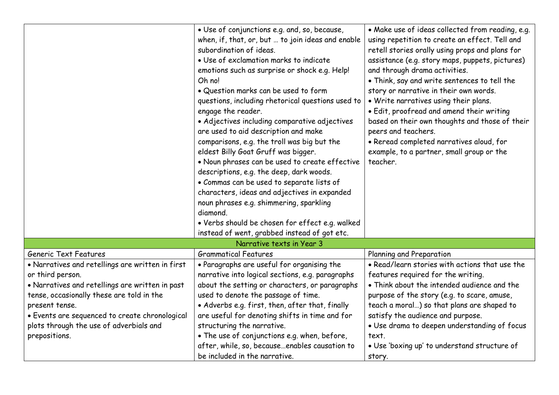|                                                                                                                                                                                                                                                                                                      | • Use of conjunctions e.g. and, so, because,<br>when, if, that, or, but  to join ideas and enable<br>subordination of ideas.<br>• Use of exclamation marks to indicate<br>emotions such as surprise or shock e.g. Help!<br>Oh no!<br>• Question marks can be used to form<br>questions, including rhetorical questions used to<br>engage the reader.<br>· Adjectives including comparative adjectives<br>are used to aid description and make<br>comparisons, e.g. the troll was big but the<br>eldest Billy Goat Gruff was bigger.<br>· Noun phrases can be used to create effective<br>descriptions, e.g. the deep, dark woods.<br>• Commas can be used to separate lists of<br>characters, ideas and adjectives in expanded<br>noun phrases e.g. shimmering, sparkling<br>diamond.<br>. Verbs should be chosen for effect e.g. walked<br>instead of went, grabbed instead of got etc. | • Make use of ideas collected from reading, e.g.<br>using repetition to create an effect. Tell and<br>retell stories orally using props and plans for<br>assistance (e.g. story maps, puppets, pictures)<br>and through drama activities.<br>• Think, say and write sentences to tell the<br>story or narrative in their own words.<br>. Write narratives using their plans.<br>· Edit, proofread and amend their writing<br>based on their own thoughts and those of their<br>peers and teachers.<br>· Reread completed narratives aloud, for<br>example, to a partner, small group or the<br>teacher. |
|------------------------------------------------------------------------------------------------------------------------------------------------------------------------------------------------------------------------------------------------------------------------------------------------------|------------------------------------------------------------------------------------------------------------------------------------------------------------------------------------------------------------------------------------------------------------------------------------------------------------------------------------------------------------------------------------------------------------------------------------------------------------------------------------------------------------------------------------------------------------------------------------------------------------------------------------------------------------------------------------------------------------------------------------------------------------------------------------------------------------------------------------------------------------------------------------------|---------------------------------------------------------------------------------------------------------------------------------------------------------------------------------------------------------------------------------------------------------------------------------------------------------------------------------------------------------------------------------------------------------------------------------------------------------------------------------------------------------------------------------------------------------------------------------------------------------|
|                                                                                                                                                                                                                                                                                                      | Narrative texts in Year 3                                                                                                                                                                                                                                                                                                                                                                                                                                                                                                                                                                                                                                                                                                                                                                                                                                                                |                                                                                                                                                                                                                                                                                                                                                                                                                                                                                                                                                                                                         |
| Generic Text Features                                                                                                                                                                                                                                                                                | <b>Grammatical Features</b>                                                                                                                                                                                                                                                                                                                                                                                                                                                                                                                                                                                                                                                                                                                                                                                                                                                              | Planning and Preparation                                                                                                                                                                                                                                                                                                                                                                                                                                                                                                                                                                                |
| • Narratives and retellings are written in first<br>or third person.<br>• Narratives and retellings are written in past<br>tense, occasionally these are told in the<br>present tense.<br>· Events are sequenced to create chronological<br>plots through the use of adverbials and<br>prepositions. | • Paragraphs are useful for organising the<br>narrative into logical sections, e.g. paragraphs<br>about the setting or characters, or paragraphs<br>used to denote the passage of time.<br>• Adverbs e.g. first, then, after that, finally<br>are useful for denoting shifts in time and for<br>structuring the narrative.<br>• The use of conjunctions e.g. when, before,<br>after, while, so, becauseenables causation to                                                                                                                                                                                                                                                                                                                                                                                                                                                              | • Read/learn stories with actions that use the<br>features required for the writing.<br>• Think about the intended audience and the<br>purpose of the story (e.g. to scare, amuse,<br>teach a moral) so that plans are shaped to<br>satisfy the audience and purpose.<br>· Use drama to deepen understanding of focus<br>text.<br>. Use 'boxing up' to understand structure of                                                                                                                                                                                                                          |
|                                                                                                                                                                                                                                                                                                      | be included in the narrative.                                                                                                                                                                                                                                                                                                                                                                                                                                                                                                                                                                                                                                                                                                                                                                                                                                                            | story.                                                                                                                                                                                                                                                                                                                                                                                                                                                                                                                                                                                                  |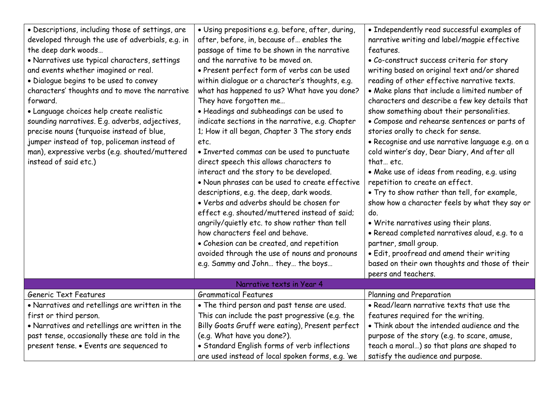| · Descriptions, including those of settings, are<br>developed through the use of adverbials, e.g. in<br>the deep dark woods<br>• Narratives use typical characters, settings<br>and events whether imagined or real.<br>· Dialogue begins to be used to convey<br>characters' thoughts and to move the narrative<br>forward.<br>· Language choices help create realistic<br>sounding narratives. E.g. adverbs, adjectives,<br>precise nouns (turquoise instead of blue,<br>jumper instead of top, policeman instead of<br>man), expressive verbs (e.g. shouted/muttered<br>instead of said etc.) | · Using prepositions e.g. before, after, during,<br>after, before, in, because of enables the<br>passage of time to be shown in the narrative<br>and the narrative to be moved on.<br>• Present perfect form of verbs can be used<br>within dialogue or a character's thoughts, e.g.<br>what has happened to us? What have you done?<br>They have forgotten me<br>· Headings and subheadings can be used to<br>indicate sections in the narrative, e.g. Chapter<br>1; How it all began, Chapter 3 The story ends<br>etc.<br>• Inverted commas can be used to punctuate<br>direct speech this allows characters to<br>interact and the story to be developed.<br>. Noun phrases can be used to create effective<br>descriptions, e.g. the deep, dark woods.<br>• Verbs and adverbs should be chosen for<br>effect e.g. shouted/muttered instead of said;<br>angrily/quietly etc. to show rather than tell<br>how characters feel and behave.<br>• Cohesion can be created, and repetition | • Independently read successful examples of<br>narrative writing and label/magpie effective<br>features.<br>• Co-construct success criteria for story<br>writing based on original text and/or shared<br>reading of other effective narrative texts.<br>• Make plans that include a limited number of<br>characters and describe a few key details that<br>show something about their personalities.<br>· Compose and rehearse sentences or parts of<br>stories orally to check for sense.<br>• Recognise and use narrative language e.g. on a<br>cold winter's day, Dear Diary, And after all<br>that etc.<br>• Make use of ideas from reading, e.g. using<br>repetition to create an effect.<br>. Try to show rather than tell, for example,<br>show how a character feels by what they say or<br>do.<br>. Write narratives using their plans.<br>• Reread completed narratives aloud, e.g. to a<br>partner, small group. |
|--------------------------------------------------------------------------------------------------------------------------------------------------------------------------------------------------------------------------------------------------------------------------------------------------------------------------------------------------------------------------------------------------------------------------------------------------------------------------------------------------------------------------------------------------------------------------------------------------|------------------------------------------------------------------------------------------------------------------------------------------------------------------------------------------------------------------------------------------------------------------------------------------------------------------------------------------------------------------------------------------------------------------------------------------------------------------------------------------------------------------------------------------------------------------------------------------------------------------------------------------------------------------------------------------------------------------------------------------------------------------------------------------------------------------------------------------------------------------------------------------------------------------------------------------------------------------------------------------|-----------------------------------------------------------------------------------------------------------------------------------------------------------------------------------------------------------------------------------------------------------------------------------------------------------------------------------------------------------------------------------------------------------------------------------------------------------------------------------------------------------------------------------------------------------------------------------------------------------------------------------------------------------------------------------------------------------------------------------------------------------------------------------------------------------------------------------------------------------------------------------------------------------------------------|
|                                                                                                                                                                                                                                                                                                                                                                                                                                                                                                                                                                                                  | avoided through the use of nouns and pronouns<br>e.g. Sammy and John they the boys                                                                                                                                                                                                                                                                                                                                                                                                                                                                                                                                                                                                                                                                                                                                                                                                                                                                                                       | · Edit, proofread and amend their writing<br>based on their own thoughts and those of their<br>peers and teachers.                                                                                                                                                                                                                                                                                                                                                                                                                                                                                                                                                                                                                                                                                                                                                                                                          |
|                                                                                                                                                                                                                                                                                                                                                                                                                                                                                                                                                                                                  | Narrative texts in Year 4                                                                                                                                                                                                                                                                                                                                                                                                                                                                                                                                                                                                                                                                                                                                                                                                                                                                                                                                                                |                                                                                                                                                                                                                                                                                                                                                                                                                                                                                                                                                                                                                                                                                                                                                                                                                                                                                                                             |
| Generic Text Features                                                                                                                                                                                                                                                                                                                                                                                                                                                                                                                                                                            | <b>Grammatical Features</b>                                                                                                                                                                                                                                                                                                                                                                                                                                                                                                                                                                                                                                                                                                                                                                                                                                                                                                                                                              | Planning and Preparation                                                                                                                                                                                                                                                                                                                                                                                                                                                                                                                                                                                                                                                                                                                                                                                                                                                                                                    |
| • Narratives and retellings are written in the                                                                                                                                                                                                                                                                                                                                                                                                                                                                                                                                                   | • The third person and past tense are used.                                                                                                                                                                                                                                                                                                                                                                                                                                                                                                                                                                                                                                                                                                                                                                                                                                                                                                                                              | • Read/learn narrative texts that use the                                                                                                                                                                                                                                                                                                                                                                                                                                                                                                                                                                                                                                                                                                                                                                                                                                                                                   |
| first or third person.                                                                                                                                                                                                                                                                                                                                                                                                                                                                                                                                                                           | This can include the past progressive (e.g. the                                                                                                                                                                                                                                                                                                                                                                                                                                                                                                                                                                                                                                                                                                                                                                                                                                                                                                                                          | features required for the writing.                                                                                                                                                                                                                                                                                                                                                                                                                                                                                                                                                                                                                                                                                                                                                                                                                                                                                          |
| . Narratives and retellings are written in the                                                                                                                                                                                                                                                                                                                                                                                                                                                                                                                                                   | Billy Goats Gruff were eating), Present perfect                                                                                                                                                                                                                                                                                                                                                                                                                                                                                                                                                                                                                                                                                                                                                                                                                                                                                                                                          | • Think about the intended audience and the                                                                                                                                                                                                                                                                                                                                                                                                                                                                                                                                                                                                                                                                                                                                                                                                                                                                                 |
| past tense, occasionally these are told in the                                                                                                                                                                                                                                                                                                                                                                                                                                                                                                                                                   | (e.g. What have you done?).                                                                                                                                                                                                                                                                                                                                                                                                                                                                                                                                                                                                                                                                                                                                                                                                                                                                                                                                                              | purpose of the story (e.g. to scare, amuse,                                                                                                                                                                                                                                                                                                                                                                                                                                                                                                                                                                                                                                                                                                                                                                                                                                                                                 |
| present tense. • Events are sequenced to                                                                                                                                                                                                                                                                                                                                                                                                                                                                                                                                                         | • Standard English forms of verb inflections                                                                                                                                                                                                                                                                                                                                                                                                                                                                                                                                                                                                                                                                                                                                                                                                                                                                                                                                             | teach a moral) so that plans are shaped to                                                                                                                                                                                                                                                                                                                                                                                                                                                                                                                                                                                                                                                                                                                                                                                                                                                                                  |
|                                                                                                                                                                                                                                                                                                                                                                                                                                                                                                                                                                                                  | are used instead of local spoken forms, e.g. 'we                                                                                                                                                                                                                                                                                                                                                                                                                                                                                                                                                                                                                                                                                                                                                                                                                                                                                                                                         | satisfy the audience and purpose.                                                                                                                                                                                                                                                                                                                                                                                                                                                                                                                                                                                                                                                                                                                                                                                                                                                                                           |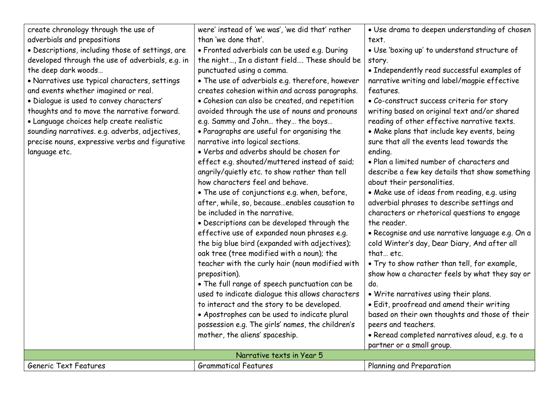| create chronology through the use of             | were' instead of 'we was', 'we did that' rather  | · Use drama to deepen understanding of chosen    |  |
|--------------------------------------------------|--------------------------------------------------|--------------------------------------------------|--|
| adverbials and prepositions                      | than 'we done that'.                             | text.                                            |  |
| · Descriptions, including those of settings, are | • Fronted adverbials can be used e.g. During     | . Use 'boxing up' to understand structure of     |  |
| developed through the use of adverbials, e.g. in | the night, In a distant field These should be    | story.                                           |  |
| the deep dark woods                              | punctuated using a comma.                        | · Independently read successful examples of      |  |
| • Narratives use typical characters, settings    | • The use of adverbials e.g. therefore, however  | narrative writing and label/magpie effective     |  |
| and events whether imagined or real.             | creates cohesion within and across paragraphs.   | features.                                        |  |
| · Dialogue is used to convey characters'         | • Cohesion can also be created, and repetition   | • Co-construct success criteria for story        |  |
| thoughts and to move the narrative forward.      | avoided through the use of nouns and pronouns    | writing based on original text and/or shared     |  |
| · Language choices help create realistic         | e.g. Sammy and John they the boys                | reading of other effective narrative texts.      |  |
| sounding narratives. e.g. adverbs, adjectives,   | • Paragraphs are useful for organising the       | . Make plans that include key events, being      |  |
| precise nouns, expressive verbs and figurative   | narrative into logical sections.                 | sure that all the events lead towards the        |  |
| language etc.                                    | • Verbs and adverbs should be chosen for         | ending.                                          |  |
|                                                  | effect e.g. shouted/muttered instead of said;    | . Plan a limited number of characters and        |  |
|                                                  | angrily/quietly etc. to show rather than tell    | describe a few key details that show something   |  |
|                                                  | how characters feel and behave.                  | about their personalities.                       |  |
|                                                  | • The use of conjunctions e.g. when, before,     | . Make use of ideas from reading, e.g. using     |  |
|                                                  | after, while, so, becauseenables causation to    | adverbial phrases to describe settings and       |  |
|                                                  | be included in the narrative.                    | characters or rhetorical questions to engage     |  |
|                                                  | . Descriptions can be developed through the      | the reader.                                      |  |
|                                                  | effective use of expanded noun phrases e.g.      | · Recognise and use narrative language e.g. On a |  |
|                                                  | the big blue bird (expanded with adjectives);    | cold Winter's day, Dear Diary, And after all     |  |
|                                                  | oak tree (tree modified with a noun); the        | that etc.                                        |  |
|                                                  | teacher with the curly hair (noun modified with  | . Try to show rather than tell, for example,     |  |
|                                                  | preposition).                                    | show how a character feels by what they say or   |  |
|                                                  | . The full range of speech punctuation can be    | do.                                              |  |
|                                                  | used to indicate dialogue this allows characters | . Write narratives using their plans.            |  |
|                                                  | to interact and the story to be developed.       | · Edit, proofread and amend their writing        |  |
|                                                  | • Apostrophes can be used to indicate plural     | based on their own thoughts and those of their   |  |
|                                                  | possession e.g. The girls' names, the children's | peers and teachers.                              |  |
|                                                  | mother, the aliens' spaceship.                   | · Reread completed narratives aloud, e.g. to a   |  |
|                                                  |                                                  | partner or a small group.                        |  |
| Narrative texts in Year 5                        |                                                  |                                                  |  |
| Generic Text Features                            | <b>Grammatical Features</b>                      | Planning and Preparation                         |  |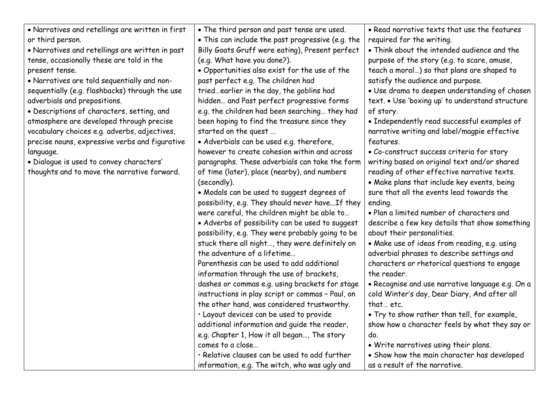| • Narratives and retellings are written in first | • The third person and past tense are used.       | • Read narrative texts that use the features     |
|--------------------------------------------------|---------------------------------------------------|--------------------------------------------------|
| or third person.                                 | • This can include the past progressive (e.g. the | required for the writing.                        |
| • Narratives and retellings are written in past  | Billy Goats Gruff were eating), Present perfect   | • Think about the intended audience and the      |
| tense, occasionally these are told in the        | (e.g. What have you done?).                       | purpose of the story (e.g. to scare, amuse,      |
| present tense.                                   | . Opportunities also exist for the use of the     | teach a moral) so that plans are shaped to       |
| • Narratives are told sequentially and non-      | past perfect e.g. The children had                | satisfy the audience and purpose.                |
| sequentially (e.g. flashbacks) through the use   | triedearlier in the day, the goblins had          | · Use drama to deepen understanding of chosen    |
| adverbials and prepositions.                     | hidden and Past perfect progressive forms         | text. • Use 'boxing up' to understand structure  |
| • Descriptions of characters, setting, and       | e.g. the children had been searching they had     | of story.                                        |
| atmosphere are developed through precise         | been hoping to find the treasure since they       | • Independently read successful examples of      |
| vocabulary choices e.g. adverbs, adjectives,     | started on the quest                              | narrative writing and label/magpie effective     |
| precise nouns, expressive verbs and figurative   | · Adverbials can be used e.g. therefore,          | features.                                        |
| language.                                        | however to create cohesion within and across      | • Co-construct success criteria for story        |
| · Dialogue is used to convey characters'         | paragraphs. These adverbials can take the form    | writing based on original text and/or shared     |
| thoughts and to move the narrative forward.      | of time (later), place (nearby), and numbers      | reading of other effective narrative texts.      |
|                                                  | (secondly).                                       | . Make plans that include key events, being      |
|                                                  | • Modals can be used to suggest degrees of        | sure that all the events lead towards the        |
|                                                  | possibility, e.g. They should never haveIf they   | ending.                                          |
|                                                  | were careful, the children might be able to       | . Plan a limited number of characters and        |
|                                                  | • Adverbs of possibility can be used to suggest   | describe a few key details that show something   |
|                                                  | possibility, e.g. They were probably going to be  | about their personalities.                       |
|                                                  | stuck there all night, they were definitely on    | . Make use of ideas from reading, e.g. using     |
|                                                  | the adventure of a lifetime                       | adverbial phrases to describe settings and       |
|                                                  | Parenthesis can be used to add additional         | characters or rhetorical questions to engage     |
|                                                  | information through the use of brackets,          | the reader.                                      |
|                                                  | dashes or commas e.g. using brackets for stage    | · Recognise and use narrative language e.g. On a |
|                                                  | instructions in play script or commas - Paul, on  | cold Winter's day, Dear Diary, And after all     |
|                                                  | the other hand, was considered trustworthy.       | that etc.                                        |
|                                                  | · Layout devices can be used to provide           | . Try to show rather than tell, for example,     |
|                                                  | additional information and quide the reader,      | show how a character feels by what they say or   |
|                                                  | e.g. Chapter 1, How it all began, The story       | do.                                              |
|                                                  | comes to a close                                  | . Write narratives using their plans.            |
|                                                  | · Relative clauses can be used to add further     | • Show how the main character has developed      |
|                                                  | information, e.g. The witch, who was ugly and     | as a result of the narrative.                    |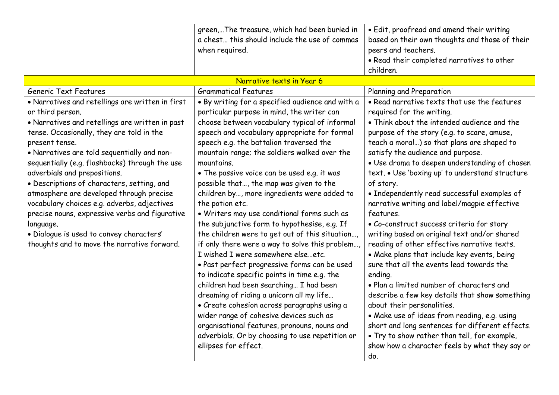|                                                  | green,The treasure, which had been buried in     | · Edit, proofread and amend their writing       |
|--------------------------------------------------|--------------------------------------------------|-------------------------------------------------|
|                                                  | a chest this should include the use of commas    | based on their own thoughts and those of their  |
|                                                  | when required.                                   | peers and teachers.                             |
|                                                  |                                                  | . Read their completed narratives to other      |
|                                                  |                                                  | children.                                       |
|                                                  | Narrative texts in Year 6                        |                                                 |
| <b>Generic Text Features</b>                     | <b>Grammatical Features</b>                      | Planning and Preparation                        |
| . Narratives and retellings are written in first | . By writing for a specified audience and with a | • Read narrative texts that use the features    |
| or third person.                                 | particular purpose in mind, the writer can       | required for the writing.                       |
| • Narratives and retellings are written in past  | choose between vocabulary typical of informal    | • Think about the intended audience and the     |
| tense. Occasionally, they are told in the        | speech and vocabulary appropriate for formal     | purpose of the story (e.g. to scare, amuse,     |
| present tense.                                   | speech e.g. the battalion traversed the          | teach a moral) so that plans are shaped to      |
| . Narratives are told sequentially and non-      | mountain range; the soldiers walked over the     | satisfy the audience and purpose.               |
| sequentially (e.g. flashbacks) through the use   | mountains.                                       | · Use drama to deepen understanding of chosen   |
| adverbials and prepositions.                     | • The passive voice can be used e.g. it was      | text. • Use 'boxing up' to understand structure |
| · Descriptions of characters, setting, and       | possible that, the map was given to the          | of story.                                       |
| atmosphere are developed through precise         | children by, more ingredients were added to      | • Independently read successful examples of     |
| vocabulary choices e.g. adverbs, adjectives      | the potion etc.                                  | narrative writing and label/magpie effective    |
| precise nouns, expressive verbs and figurative   | . Writers may use conditional forms such as      | features.                                       |
| language.                                        | the subjunctive form to hypothesise, e.g. If     | · Co-construct success criteria for story       |
| · Dialogue is used to convey characters'         | the children were to get out of this situation,  | writing based on original text and/or shared    |
| thoughts and to move the narrative forward.      | if only there were a way to solve this problem,  | reading of other effective narrative texts.     |
|                                                  | I wished I were somewhere elseetc.               | • Make plans that include key events, being     |
|                                                  | · Past perfect progressive forms can be used     | sure that all the events lead towards the       |
|                                                  | to indicate specific points in time e.g. the     | ending.                                         |
|                                                  | children had been searching I had been           | . Plan a limited number of characters and       |
|                                                  | dreaming of riding a unicorn all my life         | describe a few key details that show something  |
|                                                  | · Create cohesion across paragraphs using a      | about their personalities.                      |
|                                                  | wider range of cohesive devices such as          | . Make use of ideas from reading, e.g. using    |
|                                                  | organisational features, pronouns, nouns and     | short and long sentences for different effects. |
|                                                  | adverbials. Or by choosing to use repetition or  | . Try to show rather than tell, for example,    |
|                                                  | ellipses for effect.                             | show how a character feels by what they say or  |
|                                                  |                                                  | do.                                             |